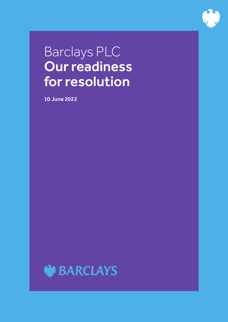

# Barclays PLC Our readiness for resolution

10 June 2022

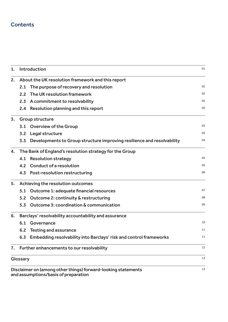# **Contents**

| 1. |                                                         | Introduction                                                                                     | 01 |  |  |
|----|---------------------------------------------------------|--------------------------------------------------------------------------------------------------|----|--|--|
| 2. | About the UK resolution framework and this report       |                                                                                                  |    |  |  |
|    | 2.1                                                     | The purpose of recovery and resolution                                                           | 02 |  |  |
|    | 2.2                                                     | The UK resolution framework                                                                      | 02 |  |  |
|    |                                                         | 2.3 A commitment to resolvability                                                                | 02 |  |  |
|    | 2.4                                                     | Resolution planning and this report                                                              | 02 |  |  |
| 3. | Group structure                                         |                                                                                                  |    |  |  |
|    |                                                         | 3.1 Overview of the Group                                                                        | 03 |  |  |
|    |                                                         | 3.2 Legal structure                                                                              | 03 |  |  |
|    | 3.3                                                     | Developments to Group structure improving resilience and resolvability                           | 04 |  |  |
| 4. | The Bank of England's resolution strategy for the Group |                                                                                                  |    |  |  |
|    | 4.1                                                     | <b>Resolution strategy</b>                                                                       | 05 |  |  |
|    |                                                         | 4.2 Conduct of a resolution                                                                      | 05 |  |  |
|    |                                                         | 4.3 Post-resolution restructuring                                                                | 06 |  |  |
| 5. | Achieving the resolution outcomes                       |                                                                                                  |    |  |  |
|    | 5.1                                                     | Outcome 1: adequate financial resources                                                          | 07 |  |  |
|    | 5.2                                                     | Outcome 2: continuity & restructuring                                                            | 08 |  |  |
|    | 5.3                                                     | <b>Outcome 3: coordination &amp; communication</b>                                               | 09 |  |  |
| 6. | Barclays' resolvability accountability and assurance    |                                                                                                  |    |  |  |
|    | 6.1                                                     | Governance                                                                                       | 10 |  |  |
|    | $6.2$                                                   | <b>Testing and assurance</b>                                                                     | 11 |  |  |
|    |                                                         | 6.3 Embedding resolvability into Barclays' risk and control frameworks                           | 11 |  |  |
| 7. |                                                         | Further enhancements to our resolvability                                                        | 12 |  |  |
|    | Glossary                                                |                                                                                                  | 13 |  |  |
|    |                                                         | Disclaimer on (among other things) forward-looking statements<br>ceumptione/boeie of proporation | 13 |  |  |

and assumptions/basis of preparation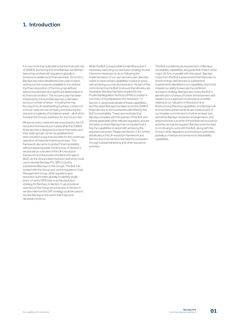# 1. Introduction

It is now more than a decade since the financial crisis of 2008/9, and during this time Barclays (as defined below) has worked with regulators globally to enhance its resilience to financial stress. Since 2011, Barclays has had a detailed recovery plan in place, setting out the measures available to it to restore the financial position of the Group (as defined below) should there be a significant deterioration in its financial condition. The recovery plan has been enhanced by the work Barclays has undertaken across a number of areas – including the ringfencing of its UK retail banking business, creation of a Group-wide service company, and reducing the size and complexity of its balance sheet – all of which increase the Group's readiness for any future crisis.

Where recovery measures are unsuccessful, the UK resolution framework put in place after the 2008/9 financial crisis is designed to ensure that banks and their wider groups can be recapitalised and restructured in a way that provides for the continued operation of important banking services. This framework also aims to protect financial stability without exposing public funds to loss. In Section 2, we provide an overview of the UK's resolution framework and the powers the Bank of England (BoE), as the Group's lead resolution authority, could use to resolve Barclays PLC (BPLC) and its subsidiaries (Barclays or the Group). The BoE has worked with the Group and, via the regulatory Crisis Management Group, other regulators and resolution authorities globally, to identify singlepoint-of-entry (SPE) bail-in as the resolution strategy for Barclays. In Section 3, we provide an overview of the Group structure and, in Section 4, we describe how this SPE strategy could be used to resolve Barclays in the event that it became necessary to do so.

While the BoE is responsible for identifying and, if necessary, executing our resolution strategy should it become necessary to do so following the implementation of our own recovery plan, Barclays needs to have certain capabilities in place to assist with achieving a successful resolution. As part of the commitment by the BoE to ensure that all banks are resolvable, Barclays has been required by the Prudential Regulation Authority (PRA) to publish a summary of its preparations for resolution.<sup>1</sup> In Section 5, we provide details of these capabilities and the steps Barclays has taken since the 2008/9 financial crisis to remove barriers identified by the BoE to resolvability. These demonstrate that Barclays complies with the policies of the BoE and (where applicable) other relevant regulators and are the basis on which Barclays has concluded that it has the capabilities to assist with achieving the required outcomes. Please see Section 2 for further details about the UK resolution framework and Section 6 on how we have reached this conclusion through substantial testing and other assurance activities.

The BoE is publishing its assessment of Barclays' resolvability capabilities, alongside that of each other major UK firm, in parallel with this report. Barclays notes from the BoE's assessment that there are no shortcomings, deficiencies or substantive impediments identified in our capabilities that could impede our ability to execute the preferred resolution strategy. Barclays also notes the BoE's identification of areas of further enhancement with respect to our approach to assurance activities relating to our Valuation in Resolution and Restructuring Planning capabilities, and Barclays will ensure these enhancements are made as part of our broader commitment to further embed, test and refine Barclays' resolution arrangements, and respond to the outcome of the enhanced assurance activities as may be required. Barclays looks forward to continuing to work with the BoE, along with the Group's other regulators and resolution authorities globally, to maintain and enhance its resolvability canabilities.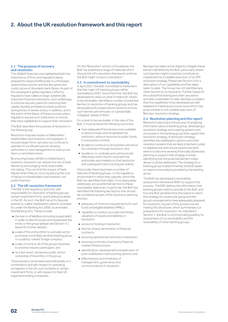# 2. About the UK resolution framework and this report

#### 2.1 The purpose of recovery and resolution

The 2008/9 financial crisis highlighted both the importance of firms and regulators being prepared to respond effectively to unforeseen severe stress events, and the disruptive and costly nature of disorderly bank failure. As part of the subsequent global regulatory reforms, regulators have called on large, systemically important financial institutions, such as Barclays, to improve recovery plans for restoring their capital, liquidity and balance sheet positions during times of severe stress. In addition, and in the event of the failure of these recovery plans, regulators require such institutions to ensure they have capabilities to support their resolution.

The BoE describes the purpose of resolution in the following way:

Resolution imposes losses on failed banks' shareholders and investors, not taxpayers. It ensures larger firms' services can continue to operate for a sufficient period, allowing authorities or new management to restructure them or wind them down.

By ensuring losses will fall on a failed bank's investors, resolution can reduce the risk of bank failures by encouraging more responsible risk-taking. This can limit the impact of bank failures when they do occur, by placing the cost of failure on shareholders and investors, not public finances.<sup>2</sup>

# 2.2 The UK resolution framework

The BoE is the regulatory authority with responsibility for resolution of banking groups, certain investment firms, and building societies in the UK. As such, the BoE has at its disposal several so-called 'stabilisation options' provided for under the Banking Act 2009, as amended (the Banking Act). These include:

- the bail-in of liabilities (including issued debt) in order to absorb losses and recapitalise the entity or the group (please see Section 4.1 below for further details);
- a sale of the entity either to a private sector purchaser, most likely another banking group, or a publicly-owned 'bridge company';
- a sale of some or all of the group's business to another industry participant; and
- as a last resort, temporary public sector ownership of the entity or the group.

These powers can be exercised individually or in combination and with respect to operating companies in the UK, such as banks or certain investment firms, or with respect to their UK organised holding companies.

On the 'Resolution' section of its website, the BoE has published a range of materials which discuss the UK's resolution framework and how the BoE might conduct a resolution.

## 2.3 A commitment to resolvability

In April 2017, the BoE committed to Parliament that the major UK banking groups will be resolvable by 2022. Since that time, the BoE has developed its views on what it means for a bank to be resolvable, identified a number of potential barriers to resolution of banking groups and has developed policy expectations aimed to ensure such barriers are removed, or substantially mitigated, ahead of 2022.

For a bank to be resolvable, in the view of the BoE, it must achieve the following outcomes:

- have adequate financial resources available to absorb losses and recapitalise the institution, without recourse to public funds, in a resolution context;
- be able to continue to do business and serve its customers through resolution; and
- be able to co-ordinate and communicate effectively within the firm and with the authorities and markets so that resolution and subsequent restructuring are orderly.

Historically, there have been a number of features of banking groups, or the regulatory environment in which they operate, which the BoE has identified that might, if not adequately addressed, act as potential barriers to these resolvability objectives. In particular, the BoE has identified the following key factors that should be considered as part of the resolution planning process:

- adequacy of minimum requirements for own funds and eligible liabilities (MREL);
- capability to conduct accurate and timely valuations of assets and liabilities in resolution;
- access to funding in resolution;
- the risk of early termination of financial contracts;
- ensuring operational continuity in resolution;
- ensuring continuity of access to financial market infrastructures;
- identification, development and execution of post-stabilisation restructuring options; and
- effectiveness and timeliness of management, governance and communications in resolution.

Barclays has taken active steps to mitigate these barriers identified by the BoE, particularly where such barriers might in practice constitute an impediment to a credible execution of its SPE resolution strategy. Please see Section 5 for a description of our capabilities and the steps taken to date. The Group has not identified any other barriers to its resolution. Further, based on the substantial testing and other assurance activities undertaken to date, Barclays considers that the capabilities it has developed are well adapted to meeting any future issue which may pose a threat to the credible execution of Barclays' resolution strategy.

## 2.4 Resolution planning and this report

Resolution planning is the process of analysing information about a banking group, developing a resolution strategy and creating systems and structures in the banking group that support the resolution strategy. A resolution strategy identifies the stabilisation options and other resolution powers that are likely to be best suited to stabilise and restructure a particular bank were it to become severely financially distressed; planning to support that strategy involves identifying how the potential barriers noted above could be addressed. The strategy for a banking group is determined by the BoE based on reports and analysis provided by the banking group.

The BoE has developed a resolvability assessment framework (RAF) to support this process. The RAF defines the information that banking groups need to provide to the BoE, and how the BoE will determine the extent to which the strategy for a particular group and the group's arrangements have adequately prepared for resolution. As part of this process we are making this disclosure, which summarises our preparations for resolution. As indicated in Section 1, the BoE is communicating publicly its assessment of our resolvability and the resolvability of other banking groups.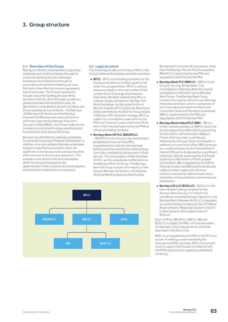# 3. Group structure

# 3.1 Overview of the Group

Barclays is a British universal bank, supporting individuals and small businesses through its consumer banking services, and larger businesses and institutions through its corporate and investment banking services. Barclays is diversified by business, geography and income type. The Group's operations include consumer banking and payments services in the UK, US and Europe, as well as a global corporate and investment bank. As described in more detail in Section 3.2 below, the Group operates as two divisions – the Barclays UK (Barclays UK) division and the Barclays International (Barclays International) division – which are supported by Barclays Execution Services Limited (BXSL), the Group-wide service company providing technology, operations and functional services across the Group.

Barclays has identified its material subsidiaries for resolution purposes (Material Subsidiaries). In addition, on an annual basis, Barclays undertakes analysis to identify those entities which are significant to the Group and those business lines which are core to the Group's operations. This analysis covers all branches and subsidiaries within the Group and supports the determination of the scope for the work required to remove any impediments to resolution.

## 3.2 Legal structure

The following provides a summary of BPLC, the Group's Material Subsidiaries and their activities:

- **BPLC** BPLC is the holding company for the Group as the direct or indirect parent of all other Group legal entities. BPLC's ordinary shares are listed on the main market of the London Stock Exchange and American Depositary Receipts representing BPLC's ordinary shares are listed on the New York Stock Exchange. As discussed further in Section 4 below, BPLC is the only 'Resolution Entity' identified by the BoE for the purposes of Barclays' SPE resolution strategy. BPLC is subject to consolidated supervision by the PRA and Financial Conduct Authority (FCA), and in 2021 received approval by the PRA as a financial holding company.
- Barclays Bank UK PLC (BBUKPLC)

– BBUKPLC is the Group's ring-fenced bank, established in line with the PRA's requirements to hold the UK core retail banking activities and protect retail banking from risks unrelated to the provision of that service. The consolidation of Barclays Bank UK PLC and its subsidiaries is referred to as the Barclays Bank UK Group. The Barclays Bank UK Group contains the majority of the Group's Barclays UK division, including the Personal Banking, Business Banking and



Barclaycard Consumer UK businesses, other than the Barclays Partner Finance business. BBUKPLC is authorised by the PRA and regulated by the FCA and the PRA.

- Barclays Bank PLC (BBPLC) BBPLC is the Group's non ring-fenced bank. The consolidation of Barclays Bank PLC and its subsidiaries is referred to as the Barclays Bank Group. The Barclays Bank Group contains the majority of the Group's Barclays International division, which is comprised of the Corporate and Investment Bank and Consumer, Cards and Payments businesses. BBPLC is authorised by the PRA and regulated by the FCA and the PRA.
- Barclays Bank Ireland PLC (BBI) BBI is a wholly-owned subsidiary of BBPLC and is the primary legal entity within the Group serving its EEA clients, with branches in Belgium, France, Germany, Italy, Luxembourg, Netherlands, Portugal, Spain and Sweden, in addition to its Irish head office. BBI is licensed as a credit institution by the Central Bank of Ireland (CBI) and is designated as a significant institution, directly supervised by the Single Supervisory Mechanism of the European Central Bank. BBI is regulated by the CBI for financial conduct and BBI's branches are also subject to direct supervision for local conduct purposes by national supervisory authorities in the jurisdictions where they are established.
- Barclays US LLC (BUSLLC) BUSLLC is the intermediate holding company for the Barclays Bank Group's non-branch US operations, including Barclays Capital Inc. and Barclays Bank Delaware. BUSLLC is regulated as a bank holding company by the US Federal Reserve Board. Please see Section 3.3(a) for further detail on the establishment of BUSLLC.

Each of BPLC, BBUKPLC, BBPLC, BBI and BUSLLC is subject to MREL (or local equivalent, for example TLAC) requirements, as further described in Section 5.1(a).

BXSL is not regulated by the PRA or the FCA, but as part of setting up and maintaining the services that BXSL provides, BXSL is structured so as to support the Group's compliance with the PRA's expectations regarding operational continuity.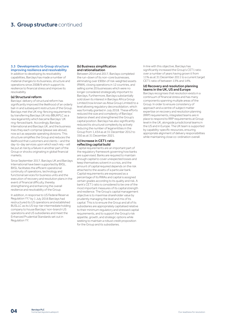# **3. Group structure continued**

# 3.3 Developments to Group structure improving resilience and resolvability

In addition to developing its resolvability capabilities, Barclays has made a number of material changes to its business, structure and operations since 2008/9 which support its resilience to financial stress and improve its resolvability.

# (a) Structural reform

Barclays' delivery of structural reform has significantly improved the likelihood of an orderly bail-in and subsequent restructure of the Group. Barclays met the UK ring-fencing requirements by transferring Barclays UK into BBUKPLC as a new legal entity which became Barclays' UK ring-fenced bank. Accordingly, Barclays International and Barclays UK, and the business lines they each comprise (please see above), now act as separate operating divisions. This structure simplifies the Group and reduces the likelihood that customers and clients – and the day-to-day services upon which each rely – will be put at risk by a failure in another part of the Group or shocks originating in global financial markets.

Since September 2017, Barclays UK and Barclays International have been supported by BXSL. BXSL facilitates the efficient operational continuity of operations, technology and functional services for business units and the execution of recovery and resolution plans in the event of financial difficulty, thereby strengthening and enhancing the overall resilience and resolvability of the Group.

In addition, in response to US Federal Reserve Regulation YY,<sup>4</sup> by 1 July 2016 Barclays had restructured its US operations and established BUSLLC as its US top-tier intermediate holding company to house Barclays' non-branch US operations and US subsidiaries and meet the Enhanced Prudential Standards set out in Regulation YY.

#### (b) Business simplification and rationalisation

Between 2014 and 2017, Barclays completed the run-down of its non-core businesses, eliminating over £90bn of risk-weighted assets (RWA), closing operations in 12 countries, and selling some 20 businesses which were no longer considered strategically important to Barclays. Furthermore, Barclays substantially sold down its interest in Barclays Africa Group Limited (now known as Absa Group Limited) to a level allowing regulatory deconsolidation, which was formally granted in July 2018. These efforts reduced the size and complexity of Barclays' balance sheet and strengthened the Group's capital position. Barclays has also significantly reduced its structural complexity by actively reducing the number of legal entities in the Group from 1,434 as at 31 December 2012 to 350 as at 31 December 2021.

# (c) Increase in CET1 ratio reflecting capital build

Capital requirements are an important part of the regulatory framework governing how banks are supervised. Banks are required to maintain enough capital to cover unexpected losses and keep themselves solvent in a crisis, and the amount of capital required depends on the risk attached to the assets of a particular bank. Capital requirements are expressed as a percentage of its RWAs and capital is assigned certain grades according to its quality and risk. A bank's CET1 ratio is considered to be one of the most important measures of its capital strength and resilience. The Group's capital management objective is to maximise shareholder value by prudently managing the level and mix of its capital. This is to ensure the Group and all of its subsidiaries are appropriately capitalised relative to their minimum regulatory and stressed capital requirements, and to support the Group's risk appetite, growth, and strategic options while seeking to maintain a robust credit proposition for the Group and its subsidiaries.

In line with this objective, Barclays has significantly increased the Group's CET1 ratio over a number of years having grown it from 11% as at 31 December 2011 to a current target CET1 ratio of between 13% and 14%.

## (d) Recovery and resolution planning teams in the UK, US and Europe

Barclays recognises that resolution exists in a continuum of financial stress and has many components spanning multiple areas of the Group. In order to ensure consistency of approach and a centre of subject matter expertise on recovery and resolution planning (RRP) requirements, integrated teams are in place to respond to RRP requirements at Group level in the UK, alongside jurisdictional teams in the US and in Europe. The UK team is supported by capability-specific resources, ensuring appropriate alignment of delivery responsibilities while maintaining close co-ordination overall.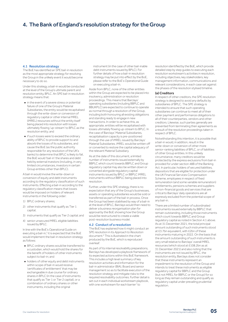# 4. The Bank of England's resolution strategy for the Group

#### 4.1 Resolution strategy

The BoE has identified an SPE bail-in resolution as the most appropriate strategy for resolving the Group in the unlikely event it would become necessary to do so.

Under this strategy, a bail-in would be conducted at the level of the Group's ultimate parent and resolution entity, BPLC. An SPE bail-in resolution strategy means that:

- in the event of a severe stress or potential failure of one of the Group's Material Subsidiaries, the entity would be recapitalised through the write-down or conversion of regulatory capital or other internal MREL (iMREL) resources without the entity itself being placed into resolution with losses ultimately flowing 'up-stream' to BPLC as the resolution entity; and
- if such losses were to exceed the ordinary ability of BPLC to provide support to and absorb the losses of its subsidiaries, and cause the BoE (as the public authority responsible for any resolution of the UK's banks) to determine that BPLC is likely to fail, the BoE would 'bail-in' the shares and debt held by external investors (including, in very limited circumstances, investors in certain Group entities other than BPLC).

A bail-in would involve the write-down or conversion of equity and debt instruments according to the regulatory classification of such instruments. Effecting a bail-in according to the regulatory classification means that losses would be imposed on holders of relevant instruments in the following order:

- 1) BPLC ordinary shares;
- 2) other instruments that qualify as Tier 1 capital;
- 3) instruments that qualify as Tier 2 capital; and
- 4) senior unsecured MREL eligible liabilities issued by BPLC.

In line with the BoE's Operational Guide on executing a bail-in,<sup>5</sup> it is expected that the BoE would implement the bail-in resolution strategy as follows:

- BPLC ordinary shares would be transferred to a custodian, which would hold the shares for the benefit of holders of other instruments subject to bail-in; and
- holders of other equity and debt instruments within scope of bail-in would receive 'certificates of entitlement' that may be exchangeable in due course for ordinary shares in BPLC (in the case of instruments that qualify as Tier 1 or Tier 2 capital), or a combination of ordinary shares or other instruments, including the original

instrument (in the case of other bail-inable debt instruments issued by BPLC). For further details of how a bail-in resolution strategy may be put into effect by the BoE, please refer to the BoE's Operational Guide on executing a bail-in.

Aside from BPLC, none of the other entities within the Group are expected to be placed into insolvency, administration or resolution proceedings. This means that Barclays' operating subsidiaries (including BBPLC and BBUKPLC) are expected to continue to operate as normal through a resolution of the Group, including both honouring all existing obligations and standing ready to engage in new transactions. In order to achieve this, as appropriate, entities will be recapitalised with losses ultimately flowing up-stream to BPLC. In the case of Barclays' Material Subsidiaries, recapitalisation capacity is pre-positioned through the use of iMREL issued by Barclays' Material Subsidiaries. iMREL would be written off or converted to restore the capital adequacy of the relevant Material Subsidiary.

As at the date of this document, a limited number of instruments issued externally by BBPLC which count towards BBPLC and Group regulatory capital may also be written down or converted alongside regulatory capital instruments issued by BPLC or BBPLC iMREL instruments without BBPLC being placed into resolution.

Further, under this SPE strategy, there is no expectation that any of the Group's businesses, assets or operating subsidiaries would be sold or transferred as part of the bail-in process. Once the Group had been stabilised by way of a bail-in at the level of BPLC, Barclays would then need to deliver a business reorganisation plan for approval by the BoE showing how the Group would be restructured to create a viable post-resolution business model.

#### 4.2 Conduct of a resolution

The BoE has explained how it might conduct an SPE resolution in its *Approach to Resolution* document.6 This is illustrated in the chart produced by the BoE, which is reproduced overleaf.

As part of its internal resolvability preparations, Barclays has developed a playbook framework of its expected actions within this BoE framework. This includes a high level summary of key resolution activities and information for the bail-in administrator (BIA), Board and senior management so as to facilitate execution of the resolution strategy and mitigate risks to the required resolvability outcomes. Further detail is set out in each individual workstream playbook, with one workstream for each barrier<sup>7</sup> to

resolution identified by the BoE, which provide detailed step by step guides to executing each resolution workstream's activities in resolution, including objectives, key stakeholders, key management information, communications and relevant considerations, in each case set against the phases of the resolution stylised timeline.

#### (a) Creditors

In respect of other creditors, the SPE resolution strategy is designed to avoid any defaults by subsidiaries of BPLC. The SPE strategy is intended to ensure that such operating subsidiaries can continue to meet all of their other payment and performance obligations to all of their counterparties, vendors and other creditors. Likewise, such parties generally are prevented from terminating their agreements as a result of the resolution proceedings taken in respect of BPLC.

Notwithstanding this intention, it is possible that a bail-in would, in addition, result in the write-down or conversion of other more senior-ranking liabilities of BPLC, or of liabilities of other Group entities. In this unlikely circumstance, many creditors would be protected by the express exclusions from bail-in provided for under section 48B of the Banking Act. In particular, holders of secured liabilities, depositors that are eligible for protection under the UK Financial Services Compensation Scheme, employees in respect of fixed remuneration (and some variable remuneration) entitlements, pensions schemes and suppliers of non-financial goods and services that are critical to Barclays' daily operations are all expressly excluded from the potential scope of any bail-in.

There are a limited number of subordinated instruments issued externally by BBPLC that remain outstanding, including those instruments which count towards BBPLC and Group regulatory capital as noted in Section 4.1 above. As at 31 December 2021, the total principal amount outstanding of such instruments stood at £3.7bn equivalent, with £2bn of these instruments maturing in 2022. On the basis that the amount outstanding of such instruments is very small relative to Barclays' overall MREL resources (which stood at £108.2bn as at 31 December 2021) and also noting that the instruments are not issued by BPLC, the resolution entity, Barclays does not consider that these instruments represent an impediment to the resolution of the Group and intends to treat these instruments as eligible regulatory capital for BBPLC and the Group (but not MREL for BBPLC or the Group) for so long as they remain outstanding and qualify as regulatory capital under prevailing prudential regulation.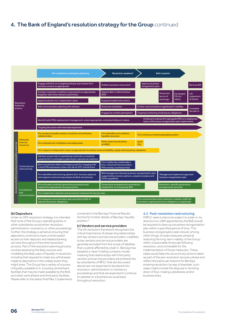# 4. The Bank of England's resolution strategy for the Group continued

|                                                       |                                           | Pre-resolution contingency planning                                                                                                                                                                             | 'Resolution weekend'                                                                                                                     |                                                                                                                  | <b>Bail-in period</b> |                                                                |                    |  |
|-------------------------------------------------------|-------------------------------------------|-----------------------------------------------------------------------------------------------------------------------------------------------------------------------------------------------------------------|------------------------------------------------------------------------------------------------------------------------------------------|------------------------------------------------------------------------------------------------------------------|-----------------------|----------------------------------------------------------------|--------------------|--|
|                                                       |                                           | Engage with firm on a heightened basis and monitor firm<br>recovery actions as appropriate                                                                                                                      | Publish resolution instrument                                                                                                            | <b>Approve business</b><br>reorganistion plan                                                                    |                       |                                                                | <b>Remove BIA</b>  |  |
| Resolution<br>Authority<br>actions                    |                                           | Conduct resolution conditions assessments as appropriate<br>(together with other relevant authorities)                                                                                                          | <b>Appoint Bail-in Administrator</b><br>(BIA)                                                                                            |                                                                                                                  | Announce<br>terms of  | Exchanged<br>CEs for                                           | Lift<br>suspension |  |
|                                                       |                                           | Appoint advisers incl. independent valuer                                                                                                                                                                       | Suspend traded instruments                                                                                                               |                                                                                                                  | exchange              | equity                                                         | of shares          |  |
|                                                       |                                           | BoE communication planning with advisers                                                                                                                                                                        | Announce resolution                                                                                                                      | Further communications regarding firm stability                                                                  |                       |                                                                | Complete           |  |
|                                                       |                                           |                                                                                                                                                                                                                 | Engage key market participants                                                                                                           | Ongoing monitoring of disclosure obligations                                                                     |                       |                                                                | the bail-in        |  |
|                                                       |                                           | Continue to oversee firm (alongside PRA) on a heightened<br>Identify (with PRA) replacement management, where appropriate, and potentially put in place<br>basis until business reorganisation plan implemented |                                                                                                                                          |                                                                                                                  |                       |                                                                |                    |  |
|                                                       |                                           | Ongoing discussion with international partners                                                                                                                                                                  |                                                                                                                                          |                                                                                                                  |                       |                                                                |                    |  |
|                                                       |                                           | Firm projects liquidity needs in resolution and refreshes<br>collateral data                                                                                                                                    | Firm identifies and mobilises<br>liquidity resources                                                                                     | Firm continues monitoring liquidity position                                                                     |                       |                                                                |                    |  |
|                                                       | <b>Adequate</b><br>financial<br>resources | Firm refreshes list of liabilities and related data                                                                                                                                                             | Write-down/conversation<br><b>of iMREL</b>                                                                                               | <b>Issue</b><br><b>CEs</b>                                                                                       |                       |                                                                |                    |  |
|                                                       |                                           | Firm supports independent valuer as appropriate to produce asset and liability, equity and insolvency valuations                                                                                                |                                                                                                                                          |                                                                                                                  |                       |                                                                |                    |  |
| Actions by the firm to achieve resolvability outcomes | Continuity and<br>restructuring           | Advisers assess risks to operational continuity in resolution<br>using the firm's contingency planning for operational readiness                                                                                |                                                                                                                                          |                                                                                                                  |                       |                                                                |                    |  |
|                                                       |                                           | Bank and advisers follow contingency plan for engaging with<br>critical FMIs and assess close-out risk on OTC transactions                                                                                      | Firm notifies key stakeholders<br>(incl. critical services providers,<br>FMIs and key counterparties)                                    |                                                                                                                  |                       |                                                                |                    |  |
|                                                       |                                           | Firm identifies restructuring options (incl. recovery options)<br>and supports restructuring analysis by Bank and advisers                                                                                      | BIA/management develop business reorganisation plan<br>supported by recovery options, valuation analysis and<br><b>OCIR capabilities</b> |                                                                                                                  |                       | Management implements approved<br>business reorganisation plan |                    |  |
|                                                       |                                           | Firm activates resolution governance processes and<br>implements appropriate recovery actions                                                                                                                   | Governance arrangements amended as<br>needed (incl. to incorporate BIA)                                                                  |                                                                                                                  | arrangements removed  | Resolution-specific governance                                 |                    |  |
|                                                       | Coordination<br>and<br>communication      | Firm implements retention and succession measures for key job roles                                                                                                                                             |                                                                                                                                          |                                                                                                                  |                       |                                                                |                    |  |
|                                                       |                                           | Firm prepares communication plan and informs BoE of<br>relevant disclosure obligations                                                                                                                          |                                                                                                                                          | Firm communicates with customers, markets, staff, etc.<br>and meets ongoing disclosure obligations as applicable |                       |                                                                |                    |  |

# (b) Depositors

Under an SPE resolution strategy, it is intended that none of the Group's operating banks or other subsidiaries would enter resolution, administration, insolvency or other proceedings. Further, the strategy is aimed at ensuring that depositors continue to have uninterrupted access to their deposits and related banking services throughout the entire resolution process. Part of the resolution planning process involves assessing the likely sources and modelling the likely uses of liquidity in resolution, including that required to meet any withdrawals made by depositors in the unlikely event they might arise. The Group has a variety of sources of liquidity available to it, including central bank facilities that may be made available by the BoE and other central bank and third party facilities. Please refer to the latest final Pillar 3 statements

contained in the Barclays Financial Results Archive for further details of Barclays' liquidity position<sup>8</sup>

# (c) Vendors and service providers

The UK resolution framework recognises the critical importance of preserving relationships with key vendors and service providers. Liabilities to key vendors and service providers are generally excluded from the scope of liabilities that could be affected by a bail-in. Barclays has adopted a 'clean' holding company model, meaning that relationships with third party vendors and service providers are entered into by subsidiaries of BPLC that (as discussed above) are not expected to be placed into resolution, administration or insolvency proceedings and that are expected to continue to operate on a business as usual basis throughout resolution.

# 4.3 Post-resolution restructuring

If BPLC were to become subject to a bail-in, its directors (or a BIA appointed by the BoE) would be required to draw up a business reorganisation plan within a specified period of time. This business reorganisation plan should, among other things, include measures aimed at restoring the long-term viability of the Group within a reasonable timescale following resolution, and a timetable for the implementation of those measures. These steps would take into account any actions taken as part of the pre-resolution recovery phase and reflect the particular reasons for Barclays entering resolution; by way of example, such steps might include the disposal or shutting down of loss-making subsidiaries and/or business lines.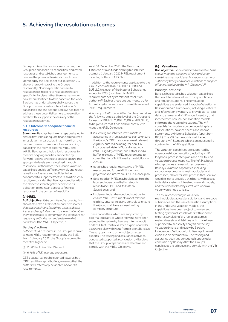# 5. Achieving the resolution outcomes

To help achieve the resolution outcomes, the Group has enhanced its capabilities, dedicated resources and established arrangements to remove the potential barriers to resolution identified by the BoE as set out in Section 2.3 above, thereby improving the Group's resolvability. No idiosyncratic barriers to resolution (i.e. barriers to resolution that are specific to Barclays rather than market-wide) have been identified to date based on the work Barclays has undertaken globally across the Group. This section describes the Group's capabilities and the actions Barclays has taken to address these potential barriers to resolution and how this supports the delivery of the resolution outcomes.

## 5.1 Outcome 1: adequate financial resources

Summary: Barclays has taken steps designed to ensure that it has adequate financial resources in resolution. In particular, it has more than the required minimum amount of loss absorbing capacity in the form of external MREL and iMREL. Barclays also holds liquid resources to meet its ongoing liabilities, supported by forward-looking analysis to seek to ensure that appropriate levels are maintained through resolution. Furthermore, the Group's valuation capabilities enable sufficiently timely and robust valuations of assets and liabilities to be conducted to support effective resolution. As a result, we consider that Barclays complies with the objectives that together comprise its obligation to maintain adequate financial resources in the context of resolution.

## (a) MREL

BoE objective: *To be considered resolvable, firms should maintain a sufficient amount of resources that can credibly and feasibly be used to absorb losses and recapitalise them to a level that enables them to continue to comply with the conditions for regulatory authorisation and sustain market confidence* (the MREL Objective).<sup>9</sup>

# Barclays' actions:

*Sufficient MREL resources:* The Group is required to meet MREL requirements set by the BoE. From 1 January 2022, the Group is required to meet the higher of:

- (i) 2 x (Pillar 1 plus Pillar 2A); and
- (ii) 6.75% of UK leverage exposure.

CET1 capital cannot be counted towards both MREL and the capital buffers, meaning that the buffers will effectively be applied above MREL requirements.

As at 31 December 2021, the Group had £108.2bn of own funds and eligible liabilities against a 1 January 2022 MREL requirement including buffers of £93.6bn.

In addition to the requirements applicable to the Group, each of BBUKPLC, BBPLC, BBI and BUSLLC (i.e. each of the Material Subsidiaries except for BXSL) is subject to iMREL requirements set by its relevant resolution authority.10 Each of these entities meets or, for future targets, is on course to meet its required iMREL requirements.

*Adequacy of MREL capabilities:* Barclays has taken the following steps, at the level of the Group and for each of BBUKPLC, BBPLC, BBI and BUSLLC. to help ensure that it has and will continue to meet the MREL Objective:

- issued eligible liabilities instruments in accordance with an assurance plan to ensure the Group's MREL resources meet relevant eligibility criteria (including, for non-UK incorporated Material Subsidiaries, local iMREL eligibility criteria) and established a buffer in excess of MREL requirements to cover the risk of MREL market restrictions or closure;
- established regular monitoring of MREL resources and future MREL demand projections to inform an MREL issuance plan;
- developed an MREL playbook describing the legal and operational bail-in steps to recapitalise BPLC and its Material Subsidiaries; and
- implemented and embedded controls to ensure MREL instruments meet relevant eligibility criteria, including controls to ensure the Group maintains a clean holding company structure.<sup>11</sup>

These capabilities, which are supported by external legal advice where relevant, have been subjected to review by Barclays Internal Audit and the Chief Controls Office as part of a wider assurance plan with input from relevant Barclays Treasury teams and other subject matter experts. The testing and assurance activities conducted supported a conclusion by Barclays that the Group's capabilities are effective and comply with the MREL Objective.

# (b) Valuations

BoE objective: *To be considered resolvable, firms should meet the objective of having valuation capabilities that would enable a valuer to carry out sufficiently timely and robust valuations to support effective resolution* (the ViR Objective).12

## Barclays' actions:

Barclays has established valuation capabilities that would enable a valuer to carry out timely and robust valuations. These valuation capabilities are evidenced through a Valuation in Resolution (ViR) Framework, including a ViR data and information inventory to provide up-to-date data to a valuer and a ViR model inventory that incorporates new ViR consolidation models informing the required valuations. The ViR consolidation models source underlying data and valuations, balance sheets and income statements by Material Subsidiary (apart from BXSL). The ViR Framework is maintained through a ViR Standard which sets out specific controls for the ViR capabilities.

The valuation capabilities are supported by operational documentation, including a ViR Playbook, process step plans and end-to-end valuation process mapping. The ViR Playbook, which provides a valuer with an overview of Barclays' valuation capabilities, including valuation assumptions, methodologies and processes, also details the process that Barclays would follow to provide a third party with access to its data, systems, infrastructure and models, and the relevant Barclays staff with whom a valuer would need to liaise.

To ensure consistency in valuation methodologies across jurisdictions and in-scope subsidiaries and the use of realistic assumptions in the underlying valuation models, the capabilities have been subject to review and testing by internal stakeholders with relevant expertise, including 'dry run' tests across material assets and liabilities which have been supported by sensitivity analysis on the key valuation drivers, and review by Barclays Independent Validation Unit, Barclays Internal Audit and an external firm. The testing and assurance activities conducted supported a conclusion by Barclays that the Group's capabilities are effective and comply with the ViR Objective.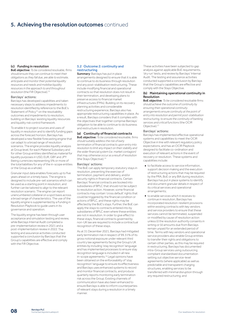# **5. Achieving the resolution outcomes** continued

# (c) Funding in resolution

BoE objective: *To be considered resolvable, firms should ensure they can continue to meet their obligations as they fall due, are able to estimate, anticipate and monitor their potential liquidity resources and needs and mobilise liquidity resources in the approach to and throughout resolution* (the FiR Objective).<sup>13</sup>

#### Barclays' actions:

Barclays has developed capabilities and taken necessary steps to address impediments to resolution identified by reference to the BoE's Statement of Policy<sup>14</sup> on the resolvability outcomes and impediments to resolution, building on Barclays' existing liquidity resources and liquidity risk control framework.

To enable it to project sources and uses of liquidity in resolution and to identify funding gaps across the forecast horizon, Barclays has developed a new flexible forecasting engine that can adapt to a broad range of resolution scenarios. The engine provides liquidity analysis at Group level, for each Material Subsidiary and for other Group entities identified as material for liquidity purposes in USD, EUR, GBY and JPY (being currencies representing 5% or more of the total liabilities for any of the in-scope entities or the Group as a whole).

Granular input data enables forecasts up to five years ahead on a timely basis. The engine is designed to include pre-set scenarios which can be used as a starting point in resolution, and further can be tailored to align to the relevant resolution scenario. The engine can report unencumbered collateral on a spot basis across a broad range of characteristics. The use of the liquidity engine is supplemented by a Funding in Resolution Playbook to guide users in its governance and operation.

The liquidity engine has been through user acceptance and simulation testing and review, while Barclays Internal Audit completed a pre-implementation review in 2021 and a post-implementation review in 2022.The testing and assurance activities conducted supported a conclusion by Barclays that the Group's capabilities are effective and comply with the FiR Objective.

# 5.2 Outcome 2: continuity and restructuring

**Summary**: Barclays has put in place arrangements designed to ensure that it is able to continue to do business through resolution and any post-stabilisation restructuring. These include modifying financial and operational contracts so that resolution does not result in their termination, and developing plans to preserve access to financial market infrastructures (FMIs). Building on its recovery planning activities and considerable restructuring experience, Barclays also has appropriate restructuring capabilities in place. As a result, Barclays considers that it complies with the objectives that together comprise Barclays' obligation to be able to continue to do business and restructure in resolution.

## (a) Continuity of financial contracts

BoE objective: *To be considered resolvable, firms should suitably address the risk of early termination of financial contracts upon entry into resolution to limit any impact on their stability and the wider financial system (i.e. market contagion) that may otherwise occur as a result of resolution* (the Stays Objective).15

## Barclays' actions:

The BoE can apply temporary statutory stays in resolution, preventing the exercise of termination, payment and delivery, and/or security rights in financial contracts. Certain Barclays' financial contracts are booked into subsidiaries of BPLC that should not be subject to resolution action. However, some financial contracts may contain 'cross default' rights that could be triggered by the financial condition or actions of BPLC, and these rights may be affected by the BoE's stays. Further, the BoE can apply the stays to contracts entered into by subsidiaries of BPLC even where these entities are not in resolution. In order to give effect to these stays, financial contracts governed by non-UK law are required to include a contractual recognition of these stays.

As at 31 December 2021, Barclays had mitigated early termination risk in respect of 99.31% of its gross notional exposure under relevant third country law agreements facing the Group's UK entities by including 'stay recognition' language and has implemented processes to ensure stay recognition language is included in all new in-scope agreements.16 Legal opinions have been obtained on the enforceability of 'stay recognition' language to ensure its effectiveness and Barclays uses enhanced systems to record and monitor financial contracts, and produce quarterly reports monitoring early termination risk across the Group. Existing channels of communication have also been enhanced to ensure Barclays is able to inform counterparties of relevant stays during a resolution in a timely manner.

These activities have been subjected to gap analysis against applicable BoE requirements, 'dry run' tests, and review by Barclays' Internal Audit. The testing and assurance activities conducted supported a conclusion by Barclays that the Group's capabilities are effective and comply with the Stays Objective.

## (b) Maintaining operational continuity in Resolution

BoE objective*: To be considered resolvable firms should achieve the outcome of continuity by ensuring their operational continuity arrangements ensure continuity at the point of entry into resolution and permit post-stabilisation restructuring, to ensure the continuity of banking services and critical functions* (the OCIR Objective).17

# Barclays' actions:

Barclays has implemented effective operational systems and capabilities to meet the OCIR Objective in line with relevant regulatory policy expectations, and has an OCIR Playbook designed to facilitate co-ordination and execution of relevant actions in the event of recovery or resolution. These systems and capabilities include:

- to facilitate access to service information support decision making and the execution of restructuring actions that may be required by the PRA, BoE or any BIA during resolution, Barclays has put in place systems to identify and document granular details in respect of its critical services and operational arrangements;
- to enable services which it receives to continue in resolution, Barclays has incorporated resolution-resilient provisions within existing contracts with key vendors and service providers to ensure that these services cannot be terminated, suspended or modified by cause of resolution action unless (i) the resolution authority consents in writing or (ii) amounts due from Barclays remain unpaid for an extended period of time. Terms with key vendors and operational service providers also enable Group entities to transfer their rights and obligations to certain other parties, as this may be required in restructuring. Barclays has documented intra-Group services using outsourcing compliant standardised documentation setting out objective service-level agreements (where applicable) as well as predictable and transparent charging structures, enabling services to be transferred with minimal disruption through any required restructuring; and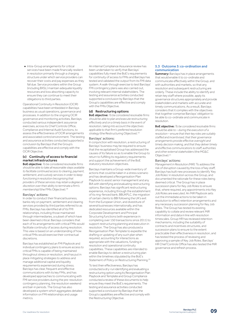■ Intra-Group arrangements for critical services have been made financially resilient in resolution primarily through a charging structure under which service providers can recover their costs and pay expenses as they fall due. Service providers within the Group (including BXSL) maintain adequate liquidity resources and loss absorbing capacity to ensure they can continue to meet their obligations to third parties.

Operational Continuity in Resolution (OCIR) capabilities have been embedded in Barclays business as usual operations, governance and processes. In addition to the ongoing OCIR governance and monitoring activities, Barclays conducted various independent assurance exercises, across its Chief Controls Office, Compliance and Internal Audit functions, to assess the effectiveness of OCIR arrangements and associated control environment. The testing and assurance activities conducted supported a conclusion by Barclays that the Group's capabilities are effective and comply with the OCIR Objective.

# (c) Continuity of access to financial market infrastructures

BoE objective: *To be considered resolvable firms should be able to take all reasonable steps available to facilitate continued access to clearing, payment, settlement, and custody services in order to keep functioning in resolution (recognising that providers of these services may retain a degree of discretion over their ability to terminate a firm's membership)* (the FMIs Objective).<sup>18</sup>

## Barclays' actions:

In order to conduct their financial business, banks rely on payment, settlement and clearing services provided by third parties referred to as FMIs. Barclays has identified all of its FMI relationships, including those maintained through intermediaries, a subset of which have been deemed critical. Barclays considers that each of its arrangements with critical FMIs would facilitate continuity of access during resolution. This view is based on an understanding of how critical FMIs would exercise their contractual discretions.

Barclays has established an FMI Playbook and individual contingency plans to ensure access to critical FMIs is capable of being maintained throughout stress or resolution, and has put in place mitigating strategies to address and manage additional capital and liquidity requirements experienced during stress. Barclays has clear, frequent and effective communications with its key FMIs, and has developed approaches to communicating with FMI service providers during the pre-resolution contingency planning, the resolution weekend and bail-in periods. The Group has also developed a system which aggregates detailed information on FMI relationships and usage metrics.

An internal Compliance Assurance review has been undertaken to verify that Barclays' capabilities fully meet the BoE's requirements for continuity of access to FMIs and Barclays has tested and validated the output from its FMI data system. A walk-through exercise to test Barclays' FMI contingency plans was also carried out, involving relevant internal stakeholders. The testing and assurance activities conducted supported a conclusion by Barclays that the Group's capabilities are effective and comply with the FMIs Objective.

# (d) Restructuring options

BoE objective: *To be considered resolvable firms should be able to plan and execute restructuring effectively and on a timely basis in the event of resolution, taking into account the objectives applicable to that firm's preferred resolution strategy* (the Restructuring Objective).19

## Barclays' actions:

In conjunction with resolution, a restructuring of Barclays' business may be required to ensure that the recapitalised Group has addressed the causes of its failure so as to enable the Group to return to fulfilling its regulatory requirements and support the achievement of the BoE statutory resolution objectives.

Barclays maintains a Group-wide inventory of actions that could be taken in a stress scenario and has developed a Reorganisation Plan Playbook to assist senior management and any BIA with identifying and evaluating restructuring options. Barclays has significant restructuring experience, including through the establishment of its ring-fenced bank, BBUKPLC, the migration of certain clients to BBI following the UK's exit from the European Union, and divestiture of several businesses internationally, and has dedicated resources available within the Corporate Development and Principal Structuring functions (with experience in completing over 150 transactions since 2011) to support restructuring planning and execution in resolution. The Group has also produced a Reorganisation Plan Template to expedite the drafting or updating of any such plan when required, accounting for interactions as appropriate with the valuations, funding in resolution and operational continuity capabilities. These capabilities are intended to enable Barclays to deliver a restructuring plan within the timelines stipulated by the BoE's Statement of Policy on Restructuring Planning.<sup>20</sup>

To test their effectiveness, Barclays has conducted a dry-run identifying and evaluating a restructuring option using its Reorganisation Plan Playbook and Template and Group Compliance conducted a review of these documents to help ensure they meet the BoE's requirements. The testing and assurance activities conducted supported a conclusion by Barclays that the Group's capabilities are effective and comply with the Restructuring Objective.

## 5.3 Outcome 3: co-ordination and communication

**Summary:** Barclays has in place arrangements that would enable it to co-ordinate and communicate effectively within the Group, and with authorities and markets, so that any resolution and subsequent restructuring are orderly. These include the ability to identify and retain key staff where possible, apply its governance structures appropriately and provide stakeholders and markets with accurate and timely communications. As a result, Barclays considers that it complies with the objectives that together comprise Barclays' obligation to be able to co-ordinate and communicate in resolution.

BoE objective: *To be considered resolvable firms should be able to – during the execution of a resolution – ensure that their key roles are suitably staffed and incentivised, that their governance arrangements provide effective oversight and timely decision making, and that they deliver timely and effective communications to staff, authorities and other external stakeholders* (the MG&C Objective).21

## Barclays' actions:

*Management in Resolution (MiR):* To address the risk of disruption caused by the loss of key staff, Barclays has built new processes to identify 'Key Job Roles' in resolution across the Group, and documented the rationale for these roles being deemed critical. The Group has in place succession plans for Key Job Roles to ensure that, where required, any appointments into Key Job Roles are executed. An MiR Playbook sets out the immediate actions to be taken in resolution to effect retention arrangements and any necessary succession planning for Key Job Roles. The Group has tested its existing capability to collate and review relevant MiR information and data in line with resolution timescales. Group HR has reviewed retention mechanisms, including the suitability of contracts and incentives structures, and succession plans to ensure to the extent practicable their effectiveness in resolution, and has tested the process of reviewing and approving a sample of Key Job Roles. Barclays' HR Chief Controls Office has also tested the MiR governance and refresh process.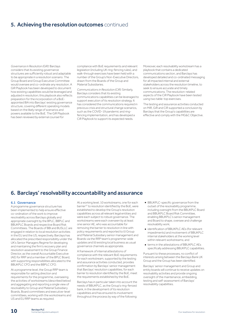# **5. Achieving the resolution outcomes** continued

*Governance in Resolution (GiR):* Barclays considers that its existing governance structures are sufficiently robust and adaptable to be appropriate in a resolution scenario. The Group Board and Group Executive Committee would oversee and co-ordinate any resolution. A GiR Playbook has been developed to document how existing capabilities would be leveraged and adjusted in resolution; this playbook also reflects preparation for the incorporation of a BoEappointed BIA into Barclays' existing governance structure, covering different operating models based on the likely range of scenarios and powers available to the BoE. The GiR Playbook has been reviewed by external counsel for

compliance with BoE requirements and relevant legislation (including UK ring-fencing rules), and walk-through exercises have been held with a number of the Group's Non-Executive Directors, drawn from the Boards of the Group and Material Subsidiaries.

*Communications in Resolution (CiR):* Similarly, Barclays considers that its existing communications capabilities can be leveraged to support execution of its resolution strategy. It has considered the communications required in previous crisis and structural change scenarios, such as the COVID-19 pandemic and ringfencing implementation, and has developed a CiR Playbook to support its expected needs.

Moreover, each resolvability workstream has a playbook that contains a dedicated communications section, and Barclays has developed detailed and co-ordinated messaging for all impacted internal and external stakeholders across the resolution timeline, to seek to ensure accurate and timely communications. The resolution-related aspects of the CiR Playbook have been tested using two table-top exercises.

The testing and assurance activities conducted on MiR, GiR and CiR supported a conclusion by Barclays that the Group's capabilities are effective and comply with the MG&C Objective.

# 6. Barclays' resolvability accountability and assurance

# 6.1 Governance

A programme governance structure has been implemented to help ensure effective co-ordination of the work to improve resolvability across Barclays globally and appropriate oversight by the BPLC, BBPLC and BBUKPLC Boards and respective Board Risk Committees. The Boards of BBI and BUSLLC are engaged in relation to local resolution activities in the EU and the US, respectively. Barclays has allocated the prescribed responsibility under the UK's Senior Managers Regime for developing and maintaining the firm's recovery plan and resolution assessment to the Group Finance Director, as the overall Accountable Executive (AE) for RRP and a member of the BPLC Board, with supporting responsibilities allocated to the BBUKPLC CFO and the BBPLC CFO.

At a programme level, the Group RRP team is responsible for setting direction and requirements for the programme, overseeing the activities of workstreams (described below) and aggregating and reporting a single view of resolvability to Group and Material Subsidiary Boards, Board committees and executive-level committees, working with the workstreams and US and EU RRP teams as required.

At a working level, 10 workstreams, one for each barrier<sup>22</sup> to resolution identified by the BoE, were established to develop the Group's resolution capabilities across all relevant legal entities and were each subject to robust governance. The workstreams were each overseen by at least one senior AE, who was accountable for removing the barrier to resolution in line with policy requirements and reported to (i) Group and Material Subsidiary senior management and Boards via the RRP team's programme-wide updates and (ii) existing local business as usual governance channels as appropriate.

A framework of internal attestations of compliance with the relevant BoE requirements for each workstream, supported by the testing and assurance activities conducted, provides confirmation by Barclays' senior management that Barclays' resolution capabilities, for each barrier to resolution identified by the BoE, meet the requirements established by the BoE.

Barclays has in particular taken into account the needs of BBUKPLC, as the Group's ring-fenced bank, in the development of its resolution capabilities and has ensured its involvement throughout the process by way of the following:

- BBUKPLC-specific governance from the outset of the resolvability programme, including oversight from the BBUKPLC Board and BBUKPLC Board Risk Committee, enabling BBUKPLC's senior management and Board to shape, oversee and challenge resolvability work;
- identification of BBUKPLC AEs (for relevant impediments) and involvement of BBUKPLC internal stakeholders at the working level within relevant workstreams; and
- terms in the attestations of BBUKPLC AEs specifically addressing BBUKPLC capabilities.

Pursuant to these processes, no conflict of interests arising between the Barclays Bank UK Group and the Group has been identified.

Barclays' senior management and Group and entity boards will continue to receive updates on resolvability activities and provide ongoing oversight of the maintenance, embedding, testing and self-assessment of Barclays' resolvability capabilities.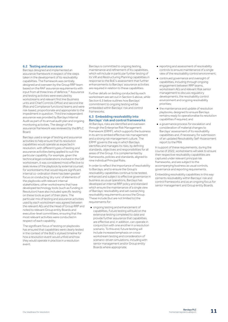# 6.2 Testing and assurance

Barclays designed and implemented an assurance framework in respect of the steps taken in the development of its resolvability capabilities. The framework was centrally designed and overseen by the Group RRP team based on the RAF assurance requirements with input from all three lines of defence.<sup>23</sup> Assurance and testing activities were executed by workstreams and relevant first line (business units and Chief Controls Office) and second line (Risk and Compliance functions) teams and were risk-based, proportionate and appropriate to the impediment in question. Third line independent assurance was provided by Barclays Internal Audit as part of its annual audit plan and ongoing monitoring activities. The design of the assurance framework was reviewed by the BPLC Board.

Barclays used a range of testing and assurance activities to help ensure that its resolution capabilities would operate as expected in resolution, with different types of testing and assurance activities being applied to suit the particular capability. For example, given the technical legal considerations involved in the GiR workstream, it was considered most effective to seek review of the playbook by external counsel; for workstreams that would require significant internal co-ordination there has been greater focus on conducting 'dry runs' of elements of the playbooks with relevant internal stakeholders; other workstreams that have developed technology tools (such as Funding in Resolution) have also included specific testing on these tools as part of their plans. The particular mix of testing and assurance activities used by each workstream was agreed between the relevant AEs and the Head of Group RRP and noted to relevant Group entity Boards and executive-level committees, ensuring that the most relevant activities were conducted in respect of each capability.

The significant focus of testing on playbooks has ensured that capabilities were clearly tested in the context of the BoE's stylised timeline for how a resolution event would unfold and how they would operate in practice in a resolution event.

Barclays is committed to ongoing testing, maintenance and refinement of its capabilities, which will include in particular further testing of its ViR and Restructuring Planning capabilities in response to the BoE's assessment that further enhancements to Barclays' assurance activities are required in relation to these capabilities.

Further details on testing conducted by each workstream are set out in Section 5 above, while Section 6.3 below outlines how Barclays commitment to ongoing testing will be embedded within Barclays' risk and control frameworks

# 6.3 Embedding resolvability into Barclays' risk and control frameworks

At Barclays, risks are identified and overseen through the Enterprise Risk Management Framework (ERMF), which supports the business in its aim to embed effective risk management and a strong risk management culture. The ERMF governs the way in which Barclays identifies and manages its risks, by defining standards, objectives and responsibilities for all areas of the Group. It is complemented by frameworks, policies and standards, aligned to nine individual Principal Risks.

In order to reflect the importance of resolvability to Barclays, and to ensure the Group's resolvability capabilities continue to be tested, enhanced and subject to effective governance in business as usual operations, Barclays has developed an internal RRP policy and standard which ensure the maintenance of a single view of Barclays' resolvability and set overarching resolvability requirements across the Group. These include (but are not limited to) the requirements for:

■ ongoing testing and enhancement of capabilities. Future testing will build on the extensive testing completed to date and provide further assurance that capabilities are effective and, in addition, can operate in conjunction with one another in a resolution scenario. To this end, future testing will include increased emphasis on crossworkstream testing and consideration of scenario-driven simulations, including with senior management and/or Group entity Boards where appropriate;

- reporting and assessment of resolvability controls to ensure maintenance of a single view of the resolvability control environment;
- continued governance and oversight of capabilities, including through ongoing engagement between RRP teams, workstream AEs and relevant Risk senior management to discuss regulatory developments, the resolvability control environment and ongoing resolvability priorities;
- the maintenance and update of resolution playbooks, designed to ensure Barclays remains ready to operationalise its resolution capabilities if required; and
- a governance process for escalation and consideration of material changes to Barclays' assessment of its resolvability capabilities and, if necessary, for submission of an updated Resolvability Self-Assessment report to the PRA

In support of these requirements, during the course of 2022, workstreams will seek to ensure their respective resolvability capabilities are captured under relevant principal risk frameworks, and are subject to the accompanying business as usual controls, governance and reporting requirements.

Embedding resolvability capabilities in this way cements resolvability within Barclays' risk and control frameworks and as an ongoing focus for senior management and Group entity Boards.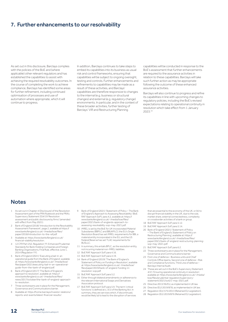# 7. Further enhancements to our resolvability

As set out in this disclosure, Barclays complies with the policies of the BoE and (where applicable) other relevant regulators and has established the capabilities to assist with achieving the required resolvability outcomes. In the course of completing the work to achieve compliance, Barclays has identified some areas for further refinement, including continued optimisation of processes and use of automation where appropriate, which it will continue to progress.

In addition, Barclays continues to take steps to embed its capabilities into its business as usual risk and control frameworks, ensuring that capabilities will be subject to ongoing oversight, testing and controls. Further enhancements and refinements to capabilities may be made as a result of these activities, and Barclays' capabilities are therefore responsive to changes to the internal (e.g. business or structural changes) and external (e.g. regulatory change) environments. In particular, and in the context of these broader activities, further testing of Barclays' ViR and Restructuring Planning

capabilities will be conducted in response to the BoE's assessment that further enhancements are required to the assurance activities in relation to these capabilities. Barclays will take such further action as may be appropriate following the outcome of these enhanced assurance activities.

Barclays will also continue to progress and refine its capabilities in line with upcoming changes to regulatory policies, including the BoE's revised expectations relating to operational continuity in resolution which take effect from 1 January 2023.24

# **Notes**

- 1 As set out in Chapter 4 (Disclosure) of the Resolution Assessment part of the PRA Rulebook and the PRA's Supervisory Statement SS4/19 'Resolution assessment and public disclosure by firms' (amended with effect from May 2021).
- 2 Bank of England (2018) 'Introduction to the Resolvability Assessment Framework', page 2, available at [https://](https://www.bankofengland.co.uk/-/media/boe/files/paper/2018/introduction-to-the-raf.pdf) [www.bankofengland.co.uk/-/media/boe/files/](https://www.bankofengland.co.uk/-/media/boe/files/paper/2018/introduction-to-the-raf.pdf) [paper/2018/introduction-to-the-raf.pdf](https://www.bankofengland.co.uk/-/media/boe/files/paper/2018/introduction-to-the-raf.pdf)
- 3 Available at: [https://www.bankofengland.co.uk/](https://www.bankofengland.co.uk/financial-stability/resolution) [financial-stability/resolution](https://www.bankofengland.co.uk/financial-stability/resolution).
- 4 12 CFR Part 252, Regulation YY, Enhanced Prudential Standards for Bank Holding Companies and Foreign Banking Organizations, Final Rule, effective June 1, 2014 (Regulation YY).
- 5 Bank of England (2021) 'Executing a bail-in: an operational guide from the Bank of England', available at: [https://www.bankofengland.co.uk/-/media/boe/](https://www.bankofengland.co.uk/-/media/boe/files/paper/2021/executing-bail-in-an-operational-guide-from-the-bank-of-england.pdf) [files/paper/2021/executing-bail-in-an-operational-](https://www.bankofengland.co.uk/-/media/boe/files/paper/2021/executing-bail-in-an-operational-guide-from-the-bank-of-england.pdf)[guide-from-the-bank-of-england.pdf.](https://www.bankofengland.co.uk/-/media/boe/files/paper/2021/executing-bail-in-an-operational-guide-from-the-bank-of-england.pdf)
- 6 Bank of England (2017) 'The Bank of England's approach to resolution', available at: [https://](https://www.bankofengland.co.uk/-/media/boe/files/news/2017/october/the-bank-of-england-approach-to-resolution) [www.bankofengland.co.uk/-/media/boe/files/](https://www.bankofengland.co.uk/-/media/boe/files/news/2017/october/the-bank-of-england-approach-to-resolution) [news/2017/october/the-bank-of-england-approach](https://www.bankofengland.co.uk/-/media/boe/files/news/2017/october/the-bank-of-england-approach-to-resolution)[to-resolution.](https://www.bankofengland.co.uk/-/media/boe/files/news/2017/october/the-bank-of-england-approach-to-resolution)
- Three workstreams are in place for the Management Governance and Communications barrier.
- 8 Available at: [https://home.barclays/investor-relations/](https://home.barclays/investor-relations/reports-and-events/latest-financial-results/) [reports-and-events/latest-financial-results/](https://home.barclays/investor-relations/reports-and-events/latest-financial-results/).
- 9 Bank of England (2021) 'Statement of Policy The Bank of England's Approach to Assessing Resolvability' (BoE RAF Approach SoP), para 4.2, available at: [https://](https://www.bankofengland.co.uk/-/media/boe/files/paper/2021/bank-of-englands-approach-to-assessing-resolvability-sop-may-2021.pdf) [www.bankofengland.co.uk/-/media/boe/files/](https://www.bankofengland.co.uk/-/media/boe/files/paper/2021/bank-of-englands-approach-to-assessing-resolvability-sop-may-2021.pdf) [paper/2021/bank-of-englands-approach-to](https://www.bankofengland.co.uk/-/media/boe/files/paper/2021/bank-of-englands-approach-to-assessing-resolvability-sop-may-2021.pdf)[assessing-resolvability-sop-may-2021.pdf](https://www.bankofengland.co.uk/-/media/boe/files/paper/2021/bank-of-englands-approach-to-assessing-resolvability-sop-may-2021.pdf).
- 10 iMREL is set by the BoE for UK-incorporated Material Subsidiaries (BBPLC and BBUKPLC); the EU's Single Resolution Board has set iMREL requirements for BBI, a material entity incorporated in the EU; and the US Federal Reserve has set TLAC requirements for BUSLLC.
- 11 In summary, this entails BPLC, as the resolution entity, not incurring material non-MREL liabilities.
- 12 BoE RAF Approach SoP, para 4.16.
- 13 BoE RAF Approach SoP, para 4.19.
- 14 Bank of England (2019) 'The Bank of England's Statement of Policy on Funding in Resolution', available at: [https://www.bankofengland.co.uk/-/media/boe/](https://www.bankofengland.co.uk/-/media/boe/files/paper/2019/bank-of-england-funding-in-resolution-sop.pdf) [files/paper/2019/bank-of-england-funding-in](https://www.bankofengland.co.uk/-/media/boe/files/paper/2019/bank-of-england-funding-in-resolution-sop.pdf)[resolution-sop.pdf](https://www.bankofengland.co.uk/-/media/boe/files/paper/2019/bank-of-england-funding-in-resolution-sop.pdf).
- 15 BoE RAF Approach SoP, para 5.2.
- 16 Either through bilateral amendments or adherence to the relevant International Swaps and Derivatives Association protocol.
- 17 BoE RAF Approach SoP, para 5.9. The term 'critical functions' is defined at s. 3(1) of the Banking Act. In summary, they are services which, if discontinued, would be likely (a) to lead to the disruption of services

that are essential to the economy of the UK, or (b) to disrupt financial stability in the UK, due to the size market share, external connectedness, complexity or crossborder activities of a bank or group.

- 18 BoE RAF Approach SoP, para 5.12.
- 19 BoE RAF Approach SoP, para 5.14.
- 20 Bank of England (2021) 'Statement of Policy – The Bank of England's Statement of Policy on Restructuring Planning', available at: [https://](https://www.bankofengland.co.uk/-/media/boe/files/paper/2021/bank-of-england-restructuring-planning-sop-may-2021.pdf) [www.bankofengland.co.uk/-/media/boe/files/](https://www.bankofengland.co.uk/-/media/boe/files/paper/2021/bank-of-england-restructuring-planning-sop-may-2021.pdf) [paper/2021/bank-of-england-restructuring-planning](https://www.bankofengland.co.uk/-/media/boe/files/paper/2021/bank-of-england-restructuring-planning-sop-may-2021.pdf)[sop-may-2021.pdf](https://www.bankofengland.co.uk/-/media/boe/files/paper/2021/bank-of-england-restructuring-planning-sop-may-2021.pdf).
- 21 BoE RAF Approach SoP, para 6.2.
- 22 Three workstreams are in place for the Management, Governance and Communications barrier.
- First Line of defence Business units and Chief Controls Office teams, Second Line of defence – Risk and Compliance functions, Third Line of defence – Barclays Internal Audit.
- 24 These are set out in the BoE's Supervisory Statement 4/21 'Ensuring operational continuity in resolution', available at: [https://www.bankofengland.co.uk/-/media/](https://www.bankofengland.co.uk/-/media/boe/files/prudential-regulation/supervisory-statement/2021/ss421-may-2021.pdf) [boe/files/prudential-regulation/supervisory](https://www.bankofengland.co.uk/-/media/boe/files/prudential-regulation/supervisory-statement/2021/ss421-may-2021.pdf)[statement/2021/ss421-may-2021.pdf](https://www.bankofengland.co.uk/-/media/boe/files/prudential-regulation/supervisory-statement/2021/ss421-may-2021.pdf).
- 25 Directive 2013/36/EU, as implemented in UK law.
- 26 Directive (EU) 2019/878, as implemented in UK law.
- 27 Regulation (EU) 575/2013 (Retained EU Legislation).
- 28 Regulation (EU) 2019/876 (Retained EU Legislation).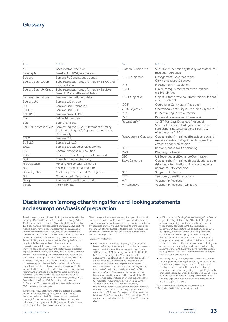# **Glossary**

| Term                   | Definition                                                                                                     | Term                    | Definition                                                                                                       |  |  |  |
|------------------------|----------------------------------------------------------------------------------------------------------------|-------------------------|------------------------------------------------------------------------------------------------------------------|--|--|--|
| AE                     | Accountable Executive                                                                                          | Material Subsidiaries   | Subsidiaries identified by Barclays as material for                                                              |  |  |  |
| Banking Act            | Banking Act 2009, as amended                                                                                   |                         | resolution purposes                                                                                              |  |  |  |
| Barclays               | Barclays PLC and its subsidiaries                                                                              | MG&C Objective          | Management, Governance and                                                                                       |  |  |  |
| Barclays Bank Group    | Subconsolidation group formed by BBPLC and<br>its subsidiaries                                                 | MiR                     | Communications Objective<br>Management in Resolution                                                             |  |  |  |
| Barclays Bank UK Group | Subconsolidation group formed by Barclays<br>Bank UK PLC and its subsidiaries                                  | MREL                    | Minimum requirements for own funds and<br>eligible liabilities                                                   |  |  |  |
| Barclays International | Barclays International division                                                                                | MREL Objective          | Objective that firms should maintain a sufficient<br>amount of MREL                                              |  |  |  |
| Barclays UK            | Barclays UK division                                                                                           |                         |                                                                                                                  |  |  |  |
| <b>BBI</b>             | Barclays Bank Ireland Plc                                                                                      | <b>OCIR</b>             | Operational Continuity in Resolution                                                                             |  |  |  |
| <b>BBPLC</b>           | Barclays Bank PLC                                                                                              | <b>OCIR Objective</b>   | Operational Continuity in Resolution Objective                                                                   |  |  |  |
| <b>BBUKPLC</b>         | Barclays Bank UK PLC                                                                                           | PRA                     | Prudential Regulation Authority                                                                                  |  |  |  |
| <b>BIA</b>             | Bail-in Administrator                                                                                          | <b>RAF</b>              | Resolvability assessment framework                                                                               |  |  |  |
| <b>BoE</b>             | Bank of England                                                                                                | Regulation YY           | 12 CFR Part 252, Enhanced Prudential                                                                             |  |  |  |
| BoE RAF Approach SoP   | Bank of England (2021) 'Statement of Policy -<br>the Bank of England's Approach to Assessing<br>Resolvability' |                         | Standards for Bank Holding Companies and<br>Foreign Banking Organizations, Final Rule,<br>effective June 1, 2014 |  |  |  |
| <b>BPLC</b>            | Barclays PLC                                                                                                   | Restructuring Objective | Objective that firms should be able to plan and                                                                  |  |  |  |
| <b>BUSLLC</b>          | Barclays US LLC                                                                                                |                         | execute a restructuring of their business in an<br>effective and timely fashion                                  |  |  |  |
| <b>BXSL</b>            | <b>Barclays Execution Services Limited</b>                                                                     | <b>RRP</b>              | Recovery and resolution planning                                                                                 |  |  |  |
| CiR                    | Communications in Resolution                                                                                   | <b>RWA</b>              | Risk weighted assets                                                                                             |  |  |  |
| <b>ERMF</b>            | Enterprise Risk Management Framework                                                                           | <b>SEC</b>              | US Securities and Exchange Commission                                                                            |  |  |  |
| <b>FCA</b>             | <b>Financial Conduct Authority</b>                                                                             | <b>Stays Objective</b>  | Objective that firms should suitably address the                                                                 |  |  |  |
| <b>FiR Objective</b>   | Funding in Resolution Objective                                                                                |                         | risk of early termination of financial contracts                                                                 |  |  |  |
| <b>FMI</b>             | Financial market infrastructure                                                                                |                         | upon entry into resolution                                                                                       |  |  |  |
| <b>FMIs Objective</b>  | Continuity of Access to FMIs Objective                                                                         | <b>SPE</b>              | Single point of entry                                                                                            |  |  |  |
| GiR                    | Governance in Resolution                                                                                       | TTP                     | Temporary transitional powers                                                                                    |  |  |  |
| Group                  | Barclays PLC and its subsidiaries                                                                              | ViR                     | Valuation in Resolution                                                                                          |  |  |  |
| <b>iMREL</b>           | Internal MREL                                                                                                  | ViR Objective           | Valuation in Resolution Objective                                                                                |  |  |  |
|                        |                                                                                                                |                         |                                                                                                                  |  |  |  |

# Disclaimer on (among other things) forward-looking statements and assumptions/basis of preparation

This document contains forward-looking statements within the meaning of Section 21E of the US Securities Exchange Act of 1934, as amended, and Section 27A of the US Securities Act of 1933, as amended, with respect to the Group. Barclays cautions readers that no forward-looking statement is a guarantee of future performance and that actual results or other financial condition or performance measures could differ materially from those contained in the forward-looking statements. These forward-looking statements can be identified by the fact that they do not relate only to historical or current facts. Forward-looking statements sometimes use words such as 'may', 'will', 'seek', 'continue', 'aim', 'anticipate', 'target', 'projected', 'expect', 'estimate', 'intend', 'plan', 'goal', 'believe', 'achieve' or other words of similar meaning. These statements are based on the current beliefs and expectations of Barclays' management and are subject to significant risks and uncertainties. Actual outcomes may be influenced by factors beyond the Group's control and may differ materially from those expressed in the forward-looking statements. Factors that could impact Barclays' future financial condition and performance are identified in Barclays PLC's filings with the US Securities and Exchange Commission (SEC) (including, without limitation, Barclays PLC's Annual Report on Form 20-F for the financial year ended 31 December 2021, as amended), which are available on the SEC's website at www.sec.gov.

Subject to Barclays' obligations under the applicable laws and regulations of any relevant jurisdiction, (including, without limitation, the UK and the US), in relation to disclosure and ongoing information, we undertake no obligation to update publicly or revise any forward-looking statements, whether as a result of new information, future events or otherwise.

This document does not constitute or form part of, and should not be construed as, an offer, solicitation or invitation to sell or issue, or any solicitation of any offer to purchase or subscribe for, any securities or other financial instruments of the Group, nor shall any part of it nor the fact of its distribution form part of, or be relied on in connection with, any contract or investment decision relating thereto.

Information relating to:

- regulatory capital, leverage, liquidity and resolution is based on Barclays' interpretation of applicable rules and regulations in force and implemented in the UK as at 31 December 2021, including, but not limited to, CRD IV<sup>25</sup> (as amended by CRD V<sup>26</sup> applicable as at<br>31 December 2021) and CRR<sup>27</sup> (as amended by CRR II<sup>28</sup> applicable as at 31 December 2021) texts and any applicable delegated acts, implementing acts or technical standards and as such rules and regulations form part of UK domestic law by virtue of the EU (Withdrawal) Act 2018, as amended, subject to the temporary transitional powers (TTP) available to UK regulators to delay or phase-in on-shoring changes to UK regulatory requirements between 31 December 2020 and 31 March 2022. All such regulatory requirements are subject to change. References herein to 'CRR' mean, unless otherwise specified, CRR as amended by CRR II, as it forms part of UK domestic law by virtue of the European Union (Withdrawal) Act 2018, as amended, and subject to the TTP, as at 31 December 2021;
- MREL is based on Barclays' understanding of the Bank of England's policy statement on 'The Bank of England's approach to setting a minimum requirement for own funds and eligible liabilities (MREL)' published in December 2021, updating the Bank of England's June 2018 policy statement and its MREL requirements communicated to Barclays by the Bank of England. Binding future MREL requirements remain subject to change including at the conclusion of the transitional period, as determined by the Bank of England, taking into account a number of factors as described in that policy statement and its MREL review, along with international developments. The Pillar 2A requirement is also subject to at least annual review; and
- future regulatory capital, liquidity, funding and/or MREL including forward-looking illustrations, are provided for illustrative purposes only and are not forecasts of Barclays' results of operations, capital position or otherwise. Illustrations regarding the capital flight path, end-state capital evolution and expectations and MREL build are based on certain assumptions applicable at the date of publication only which cannot be assured and are subject to change.

The statements in this disclosure are accurate as at 31 December 2021 unless otherwise stated.